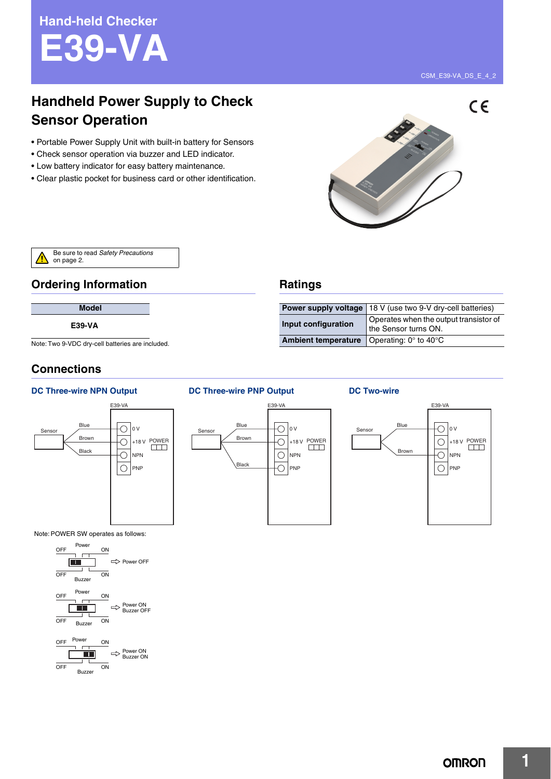# **Handheld Power Supply to Check Sensor Operation**

- Portable Power Supply Unit with built-in battery for Sensors
- Check sensor operation via buzzer and LED indicator.
- Low battery indicator for easy battery maintenance.
- Clear plastic pocket for business card or other identification.





# **Ordering Information**

# **Model**

**E39-VA**

Note: Two 9-VDC dry-cell batteries are included.

# **Connections**

Sensor

### **DC Three-wire NPN Output DC Three-wire PNP Output DC Two-wire**



Note: POWER SW operates as follows:



**Ratings**



**Ambient temperature** Operating: 0° to 40°C

**Power supply voltage** 18 V (use two 9-V dry-cell batteries) **Input configuration** Operates when the output transistor of the Sensor turns ON.



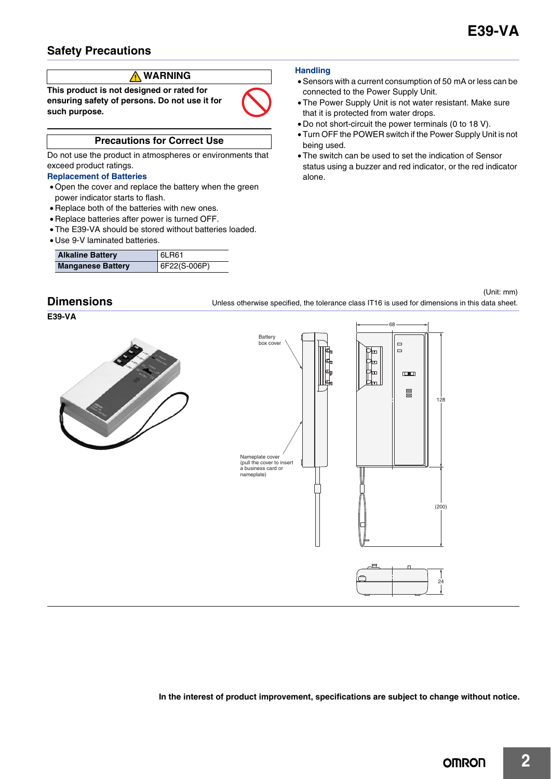# **Safety Precautions**

# **WARNING**

**This product is not designed or rated for ensuring safety of persons. Do not use it for such purpose.**



# **Precautions for Correct Use**

Do not use the product in atmospheres or environments that exceed product ratings.

### **Replacement of Batteries**

- Open the cover and replace the battery when the green power indicator starts to flash.
- Replace both of the batteries with new ones.
- Replace batteries after power is turned OFF.
- The E39-VA should be stored without batteries loaded.
- Use 9-V laminated batteries.

| <b>Alkaline Battery</b>  | 6LR61        |
|--------------------------|--------------|
| <b>Manganese Battery</b> | 6F22(S-006P) |

#### **Handling**

- Sensors with a current consumption of 50 mA or less can be connected to the Power Supply Unit.
- The Power Supply Unit is not water resistant. Make sure that it is protected from water drops.
- Do not short-circuit the power terminals (0 to 18 V).
- Turn OFF the POWER switch if the Power Supply Unit is not being used.
- The switch can be used to set the indication of Sensor status using a buzzer and red indicator, or the red indicator alone.

128

(200)

24



**E39-VA**





**In the interest of product improvement, specifications are subject to change without notice.**